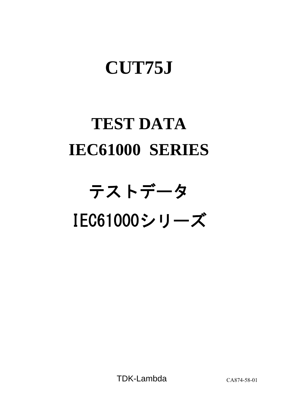# **CUT75J**

# **TEST DATA IEC61000 SERIES**

# テストデータ IEC61000シリーズ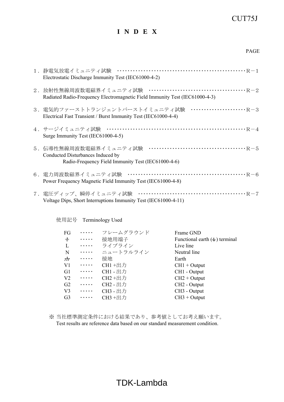### CUT75J

## **I N D E X**

| 1.静電気放電イミュニティ試験<br>Electrostatic Discharge Immunity Test (IEC61000-4-2)                                          |
|------------------------------------------------------------------------------------------------------------------|
| Radiated Radio-Frequency Electromagnetic Field Immunity Test (IEC61000-4-3)                                      |
| Electrical Fast Transient / Burst Immunity Test (IEC61000-4-4)                                                   |
| 4.サージイミュニティ試験<br>Surge Immunity Test (IEC61000-4-5)                                                              |
| 5.伝導性無線周波数電磁界イミュニティ試験<br>Conducted Disturbances Induced by<br>Radio-Frequency Field Immunity Test (IEC61000-4-6) |
| Power Frequency Magnetic Field Immunity Test (IEC61000-4-8)                                                      |
| 7.電圧ディップ、瞬停イミュニティ試験<br>Voltage Dips, Short Interruptions Immunity Test (IEC61000-4-11)                           |

使用記号 Terminology Used

| FG             | .              | フレームグラウンド       | Frame GND                            |
|----------------|----------------|-----------------|--------------------------------------|
| $\pm$          | $\cdots$       | 接地用端子           | Functional earth $($ $\pm)$ terminal |
| $\bf{L}$       | $\cdots$       | ライブライン          | Live line                            |
| N              | $\cdots\cdots$ | ニュートラルライン       | Neutral line                         |
|                | $\cdots$       | 接地              | Earth                                |
| V <sub>1</sub> | $\cdots\cdots$ | CH1 +出力         | $CH1 + Output$                       |
| G <sub>1</sub> | $\cdots\cdots$ | <b>CH1</b> - 出力 | CH1 - Output                         |
| V <sub>2</sub> | $\cdots$       | CH2+出力          | $CH2 + Output$                       |
| G <sub>2</sub> | $\cdots$       | CH2 - 出力        | CH <sub>2</sub> - Output             |
| V <sub>3</sub> | $\cdots$       | CH3 - 出力        | CH <sub>3</sub> - Output             |
| G <sub>3</sub> | $\cdots$       | CH3 +出力         | $CH3 + Output$                       |

※ 当社標準測定条件における結果であり、参考値としてお考え願います。 Test results are reference data based on our standard measurement condition.

# TDK-Lambda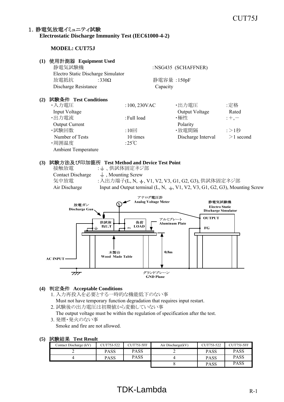#### 1. 静雷気放雷イミュニティ試験 **Electrostatic Discharge Immunity Test (IEC61000-4-2)**

#### **MODEL: CUT75J**

#### **(1)** 使用計測器 **Equipment Used** 静電気試験機 :NSG435 (SCHAFFNER) Electro Static Discharge Simulator  *放電抵抗* $:330Ω$ **静電容量** $:150pF$ Discharge Resistance Capacity **(2)** 試験条件 **Test Conditions** ・入力電圧 :100, 230VAC ・出力電圧 :定格 Input Voltage Output Voltage Rated ・出力電流 :Full load ・極性 :+,- Output Current Polarity •試験回数 :10回 •放電間隔 :>1秒 Number of Tests 10 times Discharge Interval  $>1$  second ・周囲温度 :25℃ Ambient Temperature

#### **(3)** 試験方法及び印加箇所 **Test Method and Device Test Point**

接触放電 : 上、供試体固定ネジ部 Contact Discharge  $\quad \perp$ , Mounting Screw 気中放電 :入出力端子(L, N, ±, V1, V2, V3, G1, G2, G3), 供試体固定ネジ部 Air Discharge Input and Output terminal  $(L, N, \pm, V1, V2, V3, G1, G2, G3)$ , Mounting Screw



#### **(4)** 判定条件 **Acceptable Conditions**

- 1. 入力再投入を必要とする一時的な機能低下のない事
	- Must not have temporary function degradation that requires input restart.
- 2. 試験後の出力電圧は初期値から変動していない事

The output voltage must be within the regulation of specification after the test.

3. 発煙・発火のない事 Smoke and fire are not allowed.

| (5) 試験結果 Test Result |
|----------------------|
|----------------------|

| .                      |            |            |                   |             |             |
|------------------------|------------|------------|-------------------|-------------|-------------|
| Contact Discharge (kV) | CUT75J-522 | CUT75J-5FF | Air Discharge(kV) | CUT75J-522  | CUT75J-5FF  |
|                        | PASS       | PASS       |                   | <b>PASS</b> | <b>PASS</b> |
|                        | PASS       | PASS       |                   | <b>PASS</b> | <b>PASS</b> |
|                        |            |            |                   | <b>PASS</b> | <b>PASS</b> |

# $TDK-Lambda$  R-1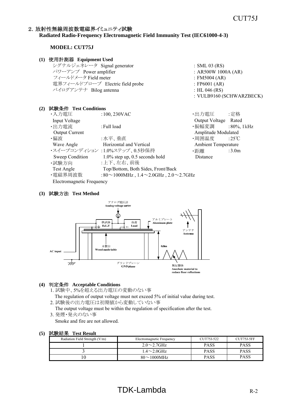#### 2. 放射性無線周波数電磁界イミュニティ試験

#### **Radiated Radio-Frequency Electromagnetic Field Immunity Test (IEC61000-4-3)**

#### **MODEL: CUT75J**

#### **(1)** 使用計測器 **Equipment Used** シグナルジェネレータ Signal generator : SML 03 (RS)  $\sqrt{7}$  Power amplifier : AR500W 1000A (AR) フィールドメータ Field meter  $\qquad \qquad : FM5004 (AR)$ 電界フィールドプローブ Electric field probe : FP6001 (AR) バイログアンテナ Bilog antenna : HL 046 (RS) : VULB9160 (SCHWARZBECK) **(2)** 試験条件 **Test Conditions** ・入力電圧 :100, 230VAC ・出力電圧 :定格 Input Voltage Output Voltage Rated ・出力電流 :Full load ・振幅変調 :80%, 1kHz Output Current **Amplitude Modulated** Amplitude Modulated ・偏波 :水平、垂直 - - - - - - - - - - - - 周囲温度 - - 25℃ Wave Angle **Horizontal and Vertical** Merced Ambient Temperature ・スイープコンディション :1.0%ステップ、0.5秒保持 ・・・・・・・・・・ ・・ :3.0m Sweep Condition 1.0% step up, 0.5 seconds hold Distance ・試験方向 :上下、左右、前後 Test Angle Top/Bottom, Both Sides, Front/Back

#### **(3)** 試験方法 **Test Method**

Electromagnetic Frequency



・電磁界周波数 :80~1000MHz , 1.4~2.0GHz , 2.0~2.7GHz

#### **(4)** 判定条件 **Acceptable Conditions**

- 1. 試験中、5%を超える出力電圧の変動のない事
- The regulation of output voltage must not exceed 5% of initial value during test. 2. 試験後の出力電圧は初期値から変動していない事
- The output voltage must be within the regulation of specification after the test.
- 3. 発煙・発火のない事

Smoke and fire are not allowed.

| Radiation Field Strength (V/m) | Electromagnetic Frequency         | CUT75J-522  | CUT75J-5FF |
|--------------------------------|-----------------------------------|-------------|------------|
|                                | $2.0 \sim 2.7$ GHz                | <b>PASS</b> | PASS       |
|                                | $1.4\mathtt{\sim}2.0\mathrm{GHz}$ | <b>PASS</b> | PASS       |
|                                | $80\sim1000$ MHz                  | <b>PASS</b> | PASS       |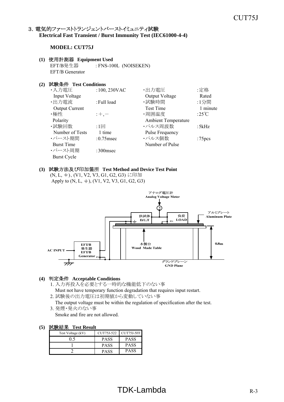#### 3. 電気的ファーストトランジェントバーストイミュニティ試験 **Electrical Fast Transient / Burst Immunity Test (IEC61000-4-4)**

#### **MODEL: CUT75J**

#### **(1)** 使用計測器 **Equipment Used**

EFT/B発生器 : FNS-100L (NOISEKEN) EFT/B Generator

#### **(2)** 試験条件 **Test Conditions**

| ・入力電圧                 | $:100,230$ VAC | ·出力電圧                  | :定格                |
|-----------------------|----------------|------------------------|--------------------|
| Input Voltage         |                | Output Voltage         | Rated              |
| ・出力電流                 | : Full load    | ・試験時間                  | :1分間               |
| <b>Output Current</b> |                | <b>Test Time</b>       | 1 minute           |
| ・極性                   | $;+, -$        | ・周囲温度                  | :25 $\mathrm{C}$   |
| Polarity              |                | Ambient Temperature    |                    |
| ・試験回数                 | :1回            | ・パルス周波数                | :5kHz              |
| Number of Tests       | 1 time         | <b>Pulse Frequency</b> |                    |
| ・バースト期間               | $:0.75$ msec   | ・パルス個数                 | :75 <sub>pcs</sub> |
| <b>Burst Time</b>     |                | Number of Pulse        |                    |
| ・バースト周期               | $:300$ msec    |                        |                    |
| <b>Burst Cycle</b>    |                |                        |                    |

#### **(3)** 試験方法及び印加箇所 **Test Method and Device Test Point**

(N, L, )、(V1, V2, V3, G1, G2, G3) に印加 Apply to  $(N, L, \frac{1}{2})$ ,  $(V1, V2, V3, G1, G2, G3)$ 



#### **(4)** 判定条件 **Acceptable Conditions**

1. 入力再投入を必要とする一時的な機能低下のない事

- Must not have temporary function degradation that requires input restart.
- 2. 試験後の出力電圧は初期値から変動していない事
- The output voltage must be within the regulation of specification after the test. 3. 発煙・発火のない事
	- Smoke and fire are not allowed.

| Test Voltage (kV) | CUT75J-522  | CUT75J-5FF  |
|-------------------|-------------|-------------|
|                   | <b>PASS</b> | <b>PASS</b> |
|                   | <b>PASS</b> | <b>PASS</b> |
|                   | PASS        | <b>PASS</b> |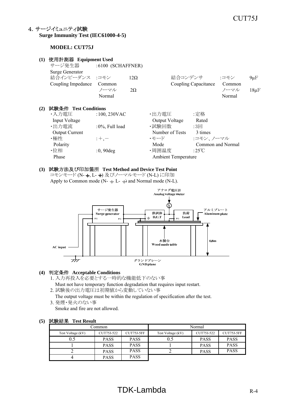#### 4.サージイミュニティ試験 **Surge Immunity Test (IEC61000-4-5)**

#### **MODEL: CUT75J**

| (1) | 使用計測器 Equipment Used                                    |                          |                         |                |                            |                      |                                  |                        |
|-----|---------------------------------------------------------|--------------------------|-------------------------|----------------|----------------------------|----------------------|----------------------------------|------------------------|
|     | サージ発生器                                                  | $:6100$ (SCHAFFNER)      |                         |                |                            |                      |                                  |                        |
|     | Surge Generator<br>結合インピーダンス :コモン<br>Coupling Impedance | Common<br>ノーマル<br>Normal | $12\Omega$<br>$2\Omega$ |                | 結合コンデンサ                    | Coupling Capacitance | :コモン<br>Common<br>ノーマル<br>Normal | $9 \mu F$<br>$18\mu F$ |
| (2) | 試験条件 Test Conditions                                    |                          |                         |                |                            |                      |                                  |                        |
|     | ・入力電圧                                                   | $:100,230$ VAC           |                         | ・出力電圧          |                            | :定格                  |                                  |                        |
|     | Input Voltage                                           |                          |                         | Output Voltage |                            | Rated                |                                  |                        |
|     | ・出力電流                                                   | :0%, Full load           |                         | ・試験回数          |                            | $:3 \square$         |                                  |                        |
|     | <b>Output Current</b>                                   |                          |                         |                | Number of Tests            | 3 times              |                                  |                        |
|     | ・極性                                                     | $;+, -$                  |                         | ・モード           |                            | :コモン、ノーマル            |                                  |                        |
|     | Polarity                                                |                          |                         | Mode           |                            |                      | Common and Normal                |                        |
|     | ・位相                                                     | $:0,90$ deg              |                         | ・周囲温度          |                            | :25°C                |                                  |                        |
|     | Phase                                                   |                          |                         |                | <b>Ambient Temperature</b> |                      |                                  |                        |
|     |                                                         |                          |                         |                |                            |                      |                                  |                        |

#### **(3)** 試験方法及び印加箇所 **Test Method and Device Test Point**

コモンモード (N- +, L- +) 及びノーマルモード (N-L) に印加 Apply to Common mode (N-  $\perp$  L-  $\perp$ ) and Normal mode (N-L).



#### **(4)** 判定条件 **Acceptable Conditions**

- 1. 入力再投入を必要とする一時的な機能低下のない事
- Must not have temporary function degradation that requires input restart.
- 2. 試験後の出力電圧は初期値から変動していない事

The output voltage must be within the regulation of specification after the test.

3. 発煙・発火のない事 Smoke and fire are not allowed.

| common_           |             |             | Normal            |             |             |
|-------------------|-------------|-------------|-------------------|-------------|-------------|
| Test Voltage (kV) | CUT75J-522  | CUT75J-5FF  | Test Voltage (kV) | CUT75J-522  | CUT75J-5FF  |
|                   | <b>PASS</b> | <b>PASS</b> | 0.5               | <b>PASS</b> | <b>PASS</b> |
|                   | <b>PASS</b> | <b>PASS</b> |                   | <b>PASS</b> | <b>PASS</b> |
|                   | <b>PASS</b> | <b>PASS</b> |                   | <b>PASS</b> | <b>PASS</b> |
|                   | <b>PASS</b> | <b>PASS</b> |                   |             |             |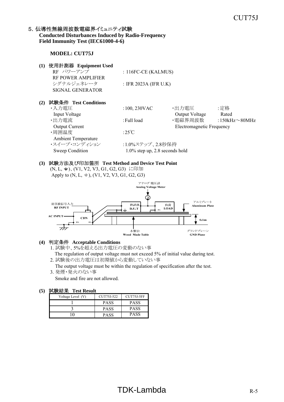#### 5. 伝導性無線周波数電磁界イミュニティ試験

#### **Conducted Disturbances Induced by Radio-Frequency Field Immunity Test (IEC61000-4-6)**

#### **MODEL: CUT75J**

| (1) | 使用計測器 Equipment Used<br>RF パワーアンプ<br><b>RF POWER AMPLIFIER</b><br>シグナルジェネレータ<br><b>SIGNAL GENERATOR</b>                                                     | : $116FC-CE$ (KALMUS)<br>: IFR 2023A (IFR U.K)                                                            |                                                                 |                                      |
|-----|-------------------------------------------------------------------------------------------------------------------------------------------------------------|-----------------------------------------------------------------------------------------------------------|-----------------------------------------------------------------|--------------------------------------|
| (2) | 試験条件 Test Conditions<br>・入力電圧<br>Input Voltage<br>・出力電流<br><b>Output Current</b><br>·周囲温度<br><b>Ambient Temperature</b><br>・スイープ・コンディション<br>Sweep Condition | $:100,230$ VAC<br>: Full load<br>:25 $\degree$ C<br>:1.0%ステップ、2.8秒保持<br>$1.0\%$ step up, 2.8 seconds hold | ・出力電圧<br>Output Voltage<br>・電磁界周波数<br>Electromagnetic Frequency | :定格<br>Rated<br>:150kHz $\sim$ 80MHz |

#### **(3)** 試験方法及び印加箇所 **Test Method and Device Test Point**

(N, L, )、(V1, V2, V3, G1, G2, G3) に印加 Apply to  $(N, L, \frac{1}{2})$ ,  $(V1, V2, V3, G1, G2, G3)$ 



#### **(4)** 判定条件 **Acceptable Conditions**

1. 試験中、5%を超える出力電圧の変動のない事 The regulation of output voltage must not exceed 5% of initial value during test.

2. 試験後の出力電圧は初期値から変動していない事 The output voltage must be within the regulation of specification after the test.

3. 発煙・発火のない事 Smoke and fire are not allowed.

| .                 |             |             |
|-------------------|-------------|-------------|
| Voltage Level (V) | CUT75J-522  | CUT75J-5FF  |
|                   | <b>PASS</b> | <b>PASS</b> |
|                   | PASS        | <b>PASS</b> |
|                   | PASS        | PASS        |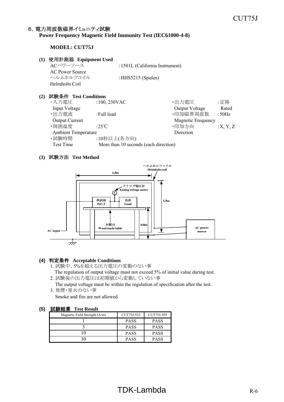## 6. 電力周波数磁界イミュニティ試験

#### **Power Frequency Magnetic Field Immunity Test (IEC61000-4-8)**

#### **MODEL: CUT75J**

#### **(1)** 使用計測器 **Equipment Used**

ACパワーソース :1501L (California Instrument) AC Power Source ヘルムホルツコイル :HHS5215 (Spulen) Helmholts Coil

#### **(2)** 試験条件 **Test Conditions**

| ・入力電圧                      | $:100,230$ VAC                        | ・出力電圧                     | :定格      |
|----------------------------|---------------------------------------|---------------------------|----------|
| Input Voltage              |                                       | Output Voltage            | Rated    |
| ・出力電流                      | : Full load                           | ·印加磁界周波数                  | : $50Hz$ |
| <b>Output Current</b>      |                                       | <b>Magnetic Frequency</b> |          |
| ・周囲温度                      | :25°C                                 | ·印加方向                     | :X, Y, Z |
| <b>Ambient Temperature</b> |                                       | Direction                 |          |
| ・試験時間                      | :10秒以上(各方向)                           |                           |          |
| Test Time                  | More than 10 seconds (each direction) |                           |          |

#### **(3)** 試験方法 **Test Method**



#### **(4)** 判定条件 **Acceptable Conditions**

- 1. 試験中、5%を超える出力電圧の変動のない事 The regulation of output voltage must not exceed 5% of initial value during test.
- 2. 試験後の出力電圧は初期値から変動していない事
- The output voltage must be within the regulation of specification after the test. 3. 発煙・発火のない事
	- Smoke and fire are not allowed.

| <b>HEADAIN 4-M-NEW</b>        |             |             |  |  |  |  |
|-------------------------------|-------------|-------------|--|--|--|--|
| Magnetic Field Strength (A/m) | CUT75J-522  | CUT75J-5FF  |  |  |  |  |
|                               | <b>PASS</b> | <b>PASS</b> |  |  |  |  |
|                               | <b>PASS</b> | <b>PASS</b> |  |  |  |  |
|                               | <b>PASS</b> | <b>PASS</b> |  |  |  |  |
|                               | <b>PASS</b> | <b>PASS</b> |  |  |  |  |